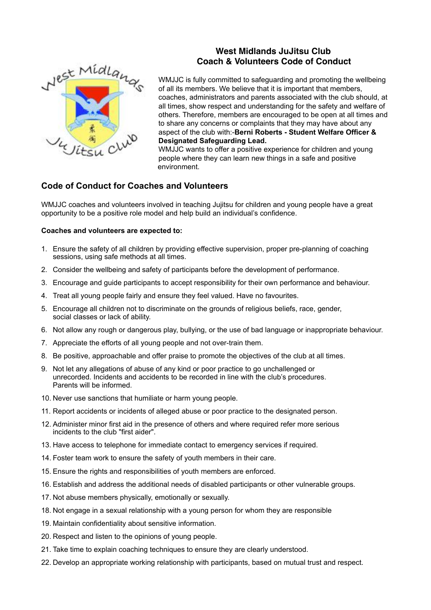# Nest Midlangs

# **West Midlands JuJitsu Club Coach & Volunteers Code of Conduct**

WMJJC is fully committed to safeguarding and promoting the wellbeing of all its members. We believe that it is important that members, coaches, administrators and parents associated with the club should, at all times, show respect and understanding for the safety and welfare of others. Therefore, members are encouraged to be open at all times and to share any concerns or complaints that they may have about any aspect of the club with:-**Berni Roberts - Student Welfare Officer & Designated Safeguarding Lead.**

WMJJC wants to offer a positive experience for children and young people where they can learn new things in a safe and positive environment.

# **Code of Conduct for Coaches and Volunteers**

WMJJC coaches and volunteers involved in teaching Jujitsu for children and young people have a great opportunity to be a positive role model and help build an individual's confidence.

### **Coaches and volunteers are expected to:**

- 1. Ensure the safety of all children by providing effective supervision, proper pre-planning of coaching sessions, using safe methods at all times.
- 2. Consider the wellbeing and safety of participants before the development of performance.
- 3. Encourage and guide participants to accept responsibility for their own performance and behaviour.
- 4. Treat all young people fairly and ensure they feel valued. Have no favourites.
- 5. Encourage all children not to discriminate on the grounds of religious beliefs, race, gender, social classes or lack of ability.
- 6. Not allow any rough or dangerous play, bullying, or the use of bad language or inappropriate behaviour.
- 7. Appreciate the efforts of all young people and not over-train them.
- 8. Be positive, approachable and offer praise to promote the objectives of the club at all times.
- 9. Not let any allegations of abuse of any kind or poor practice to go unchallenged or unrecorded. Incidents and accidents to be recorded in line with the club's procedures. Parents will be informed.
- 10. Never use sanctions that humiliate or harm young people.
- 11. Report accidents or incidents of alleged abuse or poor practice to the designated person.
- 12. Administer minor first aid in the presence of others and where required refer more serious incidents to the club "first aider".
- 13. Have access to telephone for immediate contact to emergency services if required.
- 14. Foster team work to ensure the safety of youth members in their care.
- 15. Ensure the rights and responsibilities of youth members are enforced.
- 16. Establish and address the additional needs of disabled participants or other vulnerable groups.
- 17. Not abuse members physically, emotionally or sexually.
- 18. Not engage in a sexual relationship with a young person for whom they are responsible
- 19. Maintain confidentiality about sensitive information.
- 20. Respect and listen to the opinions of young people.
- 21. Take time to explain coaching techniques to ensure they are clearly understood.
- 22. Develop an appropriate working relationship with participants, based on mutual trust and respect.